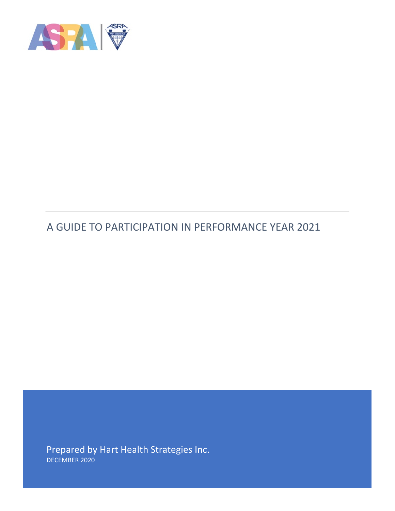

# A GUIDE TO PARTICIPATION IN PERFORMANCE YEAR 2021

Prepared by Hart Health Strategies Inc. DECEMBER 2020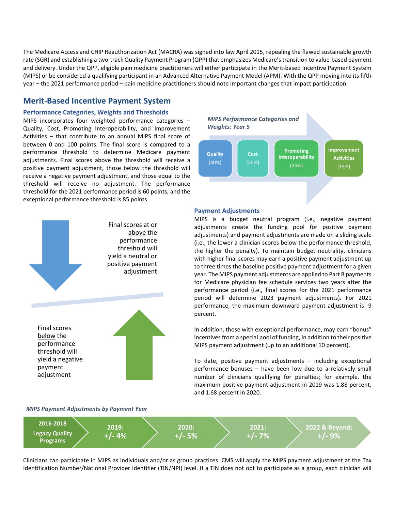The Medicare Access and CHIP Reauthorization Act (MACRA) was signed into law April 2015, repealing the flawed sustainable growth rate (SGR) and establishing a two-track Quality Payment Program (QPP) that emphasizes Medicare's transition to value-based payment and delivery. Under the QPP, eligible pain medicine practitioners will either participate in the Merit-based Incentive Payment System (MIPS) or be considered a qualifying participant in an Advanced Alternative Payment Model (APM). With the QPP moving into its fifth year – the 2021 performance period – pain medicine practitioners should note important changes that impact participation.

## **Merit-Based Incentive Payment System**

#### **Performance Categories, Weights and Thresholds**

MIPS incorporates four weighted performance categories – Quality, Cost, Promoting Interoperability, and Improvement Activities – that contribute to an annual MIPS final score of between 0 and 100 points. The final score is compared to a performance threshold to determine Medicare payment adjustments. Final scores above the threshold will receive a positive payment adjustment, those below the threshold will receive a negative payment adjustment, and those equal to the threshold will receive no adjustment. The performance threshold for the 2021 performance period is 60 points, and the exceptional performance threshold is 85 points.



#### *MIPS Payment Adjustments by Payment Year*



#### **Payment Adjustments**

MIPS is a budget neutral program (i.e., negative payment adjustments create the funding pool for positive payment adjustments) and payment adjustments are made on a sliding scale (i.e., the lower a clinician scores below the performance threshold, the higher the penalty). To maintain budget neutrality, clinicians with higher final scores may earn a positive payment adjustment up to three times the baseline positive payment adjustment for a given year. The MIPS payment adjustments are applied to Part B payments for Medicare physician fee schedule services two years after the performance period (i.e., final scores for the 2021 performance period will determine 2023 payment adjustments). For 2021 performance, the maximum downward payment adjustment is -9 percent.

In addition, those with exceptional performance, may earn "bonus" incentives from a special pool of funding, in addition to their positive MIPS payment adjustment (up to an additional 10 percent).

To date, positive payment adjustments – including exceptional performance bonuses – have been low due to a relatively small number of clinicians qualifying for penalties; for example, the maximum positive payment adjustment in 2019 was 1.88 percent, and 1.68 percent in 2020.



Clinicians can participate in MIPS as individuals and/or as group practices. CMS will apply the MIPS payment adjustment at the Tax Identification Number/National Provider Identifier (TIN/NPI) level. If a TIN does not opt to participate as a group, each clinician will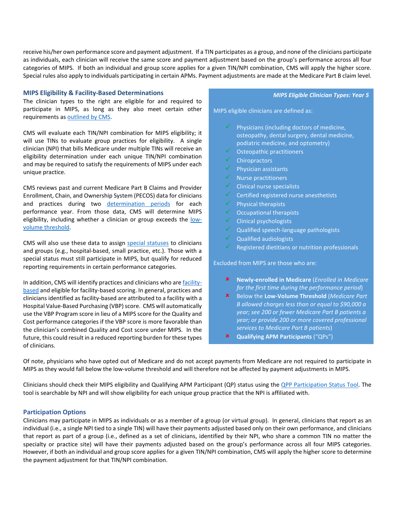receive his/her own performance score and payment adjustment. If a TIN participates as a group, and none of the clinicians participate as individuals, each clinician will receive the same score and payment adjustment based on the group's performance across all four categories of MIPS. If both an individual and group score applies for a given TIN/NPI combination, CMS will apply the higher score. Special rules also apply to individuals participating in certain APMs. Payment adjustments are made at the Medicare Part B claim level.

#### **MIPS Eligibility & Facility-Based Determinations**

The clinician types to the right are eligible for and required to participate in MIPS, as long as they also meet certain other requirements a[s outlined](https://qpp.cms.gov/mips/how-eligibility-is-determined) by CMS.

CMS will evaluate each TIN/NPI combination for MIPS eligibility; it will use TINs to evaluate group practices for eligibility. A single clinician (NPI) that bills Medicare under multiple TINs will receive an eligibility determination under each unique TIN/NPI combination and may be required to satisfy the requirements of MIPS under each unique practice.

CMS reviews past and current Medicare Part B Claims and Provider Enrollment, Chain, and Ownership System (PECOS) data for clinicians and practices during two [determination periods](https://qpp.cms.gov/about/eligibility-determination-periods-and-snapshots) for each performance year. From those data, CMS will determine MIPS eligibility, including whether a clinician or group exceeds the [low](https://qpp.cms.gov/mips/how-eligibility-is-determined)[volume threshold.](https://qpp.cms.gov/mips/how-eligibility-is-determined)

CMS will also use these data to assign [special statuses](https://qpp.cms.gov/mips/reporting-factors-overview#special-statuses) to clinicians and groups (e.g., hospital-based, small practice, etc.). Those with a special status must still participate in MIPS, but qualify for reduced reporting requirements in certain performance categories.

In addition, CMS will identify practices and clinicians who ar[e facility](https://qpp.cms.gov/mips/reporting-factors-overview#facility-based-determinations)[based](https://qpp.cms.gov/mips/reporting-factors-overview#facility-based-determinations) and eligible for facility-based scoring. In general, practices and clinicians identified as facility-based are attributed to a facility with a Hospital Value-Based Purchasing (VBP) score. CMS will automatically use the VBP Program score in lieu of a MIPS score for the Quality and Cost performance categories if the VBP score is more favorable than the clinician's combined Quality and Cost score under MIPS. In the future, this could result in a reduced reporting burden for these types of clinicians.

#### *MIPS Eligible Clinician Types: Year 5*

MIPS eligible clinicians are defined as:

- Physicians (including doctors of medicine, osteopathy, dental surgery, dental medicine, podiatric medicine, and optometry)
- Osteopathic practitioners
- **Chiropractors**
- Physician assistants
- $\sqrt{\phantom{a}}$  Nurse practitioners
- $\checkmark$  Clinical nurse specialists
- Certified registered nurse anesthetists
- $\sqrt{\phantom{a}}$  Physical therapists
- $\checkmark$  Occupational therapists
- $\checkmark$  Clinical psychologists
- Qualified speech-language pathologists
- Qualified audiologists
- Registered dietitians or nutrition professionals

Excluded from MIPS are those who are:

- **Newly-enrolled in Medicare** (*Enrolled in Medicare for the first time during the performance period*)
- Below the **Low-Volume Threshold** (*Medicare Part B allowed charges less than or equal to \$90,000 a year; see 200 or fewer Medicare Part B patients a year; or provide 200 or more covered professional services to Medicare Part B patients*)
- **Qualifying APM Participants** ("QPs")

Of note, physicians who have opted out of Medicare and do not accept payments from Medicare are not required to participate in MIPS as they would fall below the low-volume threshold and will therefore not be affected by payment adjustments in MIPS.

Clinicians should check their MIPS eligibility and Qualifying APM Participant (QP) status using the [QPP Participation Status Tool.](https://qpp.cms.gov/participation-lookup) The tool is searchable by NPI and will show eligibility for each unique group practice that the NPI is affiliated with.

### **Participation Options**

Clinicians may participate in MIPS as individuals or as a member of a group (or virtual group). In general, clinicians that report as an individual (i.e., a single NPI tied to a single TIN) will have their payments adjusted based only on their own performance, and clinicians that report as part of a group (i.e., defined as a set of clinicians, identified by their NPI, who share a common TIN no matter the specialty or practice site) will have their payments adjusted based on the group's performance across all four MIPS categories. However, if both an individual and group score applies for a given TIN/NPI combination, CMS will apply the higher score to determine the payment adjustment for that TIN/NPI combination.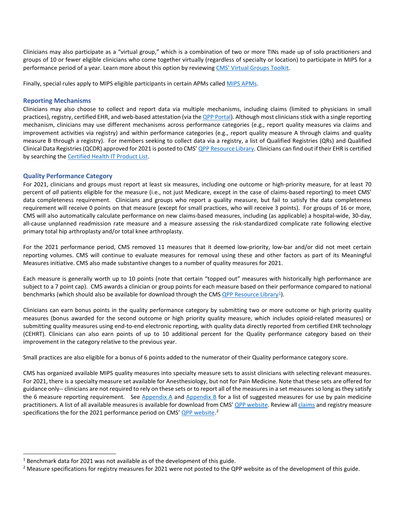Clinicians may also participate as a "virtual group," which is a combination of two or more TINs made up of solo practitioners and groups of 10 or fewer eligible clinicians who come together virtually (regardless of specialty or location) to participate in MIPS for a performance period of a year. Learn more about this option by reviewing [CMS' Virtual Groups Toolkit.](https://qpp-cm-prod-content.s3.amazonaws.com/uploads/637/2020%20Virtual%20Groups%20Toolkit.zip)

Finally, special rules apply to MIPS eligible participants in certain APMs calle[d MIPS APMs.](https://qpp.cms.gov/apms/mips-apms)

### **Reporting Mechanisms**

Clinicians may also choose to collect and report data via multiple mechanisms, including claims (limited to physicians in small practices), registry, certified EHR, and web-based attestation (via th[e QPP Portal\)](https://qpp.cms.gov/login). Although most clinicians stick with a single reporting mechanism, clinicians may use different mechanisms across performance categories (e.g., report quality measures via claims and improvement activities via registry) and within performance categories (e.g., report quality measure A through claims and quality measure B through a registry). For members seeking to collect data via a registry, a list of Qualified Registries (QRs) and Qualified Clinical Data Registries (QCDR) approved for 2021 is posted to CMS' OPP Resource Library. Clinicians can find out if their EHR is certified by searching the [Certified Health IT Product List.](https://chpl.healthit.gov/#/search)

### **Quality Performance Category**

For 2021, clinicians and groups must report at least six measures, including one outcome or high-priority measure, for at least 70 percent of *all* patients eligible for the measure (i.e., not just Medicare, except in the case of claims-based reporting) to meet CMS' data completeness requirement. Clinicians and groups who report a quality measure, but fail to satisfy the data completeness requirement will receive 0 points on that measure (except for small practices, who will receive 3 points). For groups of 16 or more, CMS will also automatically calculate performance on new claims-based measures, including (as applicable) a hospital-wide, 30-day, all-cause unplanned readmission rate measure and a measure assessing the risk-standardized complicate rate following elective primary total hip arthroplasty and/or total knee arthroplasty.

For the 2021 performance period, CMS removed 11 measures that it deemed low-priority, low-bar and/or did not meet certain reporting volumes. CMS will continue to evaluate measures for removal using these and other factors as part of its Meaningful Measures initiative. CMS also made substantive changes to a number of quality measures for 2021.

Each measure is generally worth up to 10 points (note that certain "topped out" measures with historically high performance are subject to a 7 point cap). CMS awards a clinician or group points for each measure based on their performance compared to national benchmarks (which should also be available for download through the CM[S QPP Resource Library](https://qpp.cms.gov/about/resource-library)<sup>[1](#page-3-0)</sup>).

Clinicians can earn bonus points in the quality performance category by submitting two or more outcome or high priority quality measures (bonus awarded for the second outcome or high priority quality measure, which includes opioid-related measures) or submitting quality measures using end-to-end electronic reporting, with quality data directly reported from certified EHR technology (CEHRT). Clinicians can also earn points of up to 10 additional percent for the Quality performance category based on their improvement in the category relative to the previous year.

Small practices are also eligible for a bonus of 6 points added to the numerator of their Quality performance category score.

CMS has organized available MIPS quality measures into specialty measure sets to assist clinicians with selecting relevant measures. For 2021, there is a specialty measure set available for Anesthesiology, but not for Pain Medicine. Note that these sets are offered for guidance only-- clinicians are not required to rely on these sets or to report all of the measures in a set measures so long as they satisfy the 6 measure reporting requirement. See [Appendix A](#page-5-0) and [Appendix B](#page-6-0) for a list of suggested measures for use by pain medicine practitioners. A list of all available measures is available for download from CMS' [QPP website.](https://qpp-cm-prod-content.s3.amazonaws.com/uploads/1246/2021%20MIPS%20Quality%20Measures%20List.xlsx) Review al[l claims](https://qpp-cm-prod-content.s3.amazonaws.com/uploads/1245/2021+Medicare+Part+B+Claims+Measure+Specs+and+Supporting+Docs.zip) and registry measure specifications the for the [2](#page-3-1)021 performance period on CMS' OPP website.<sup>2</sup>

<span id="page-3-0"></span><sup>&</sup>lt;sup>1</sup> Benchmark data for 2021 was not available as of the development of this guide.

<span id="page-3-1"></span> $<sup>2</sup>$  Measure specifications for registry measures for 2021 were not posted to the QPP website as of the development of this guide.</sup>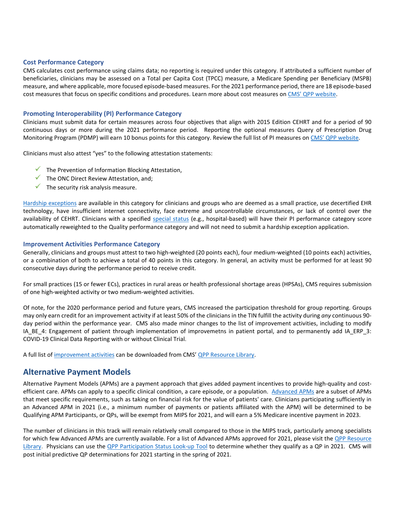#### **Cost Performance Category**

CMS calculates cost performance using claims data; no reporting is required under this category. If attributed a sufficient number of beneficiaries, clinicians may be assessed on a Total per Capita Cost (TPCC) measure, a Medicare Spending per Beneficiary (MSPB) measure, and where applicable, more focused episode-based measures. For the 2021 performance period, there are 18 episode-based cost measures that focus on specific conditions and procedures. Learn more about cost measures o[n CMS' QPP website.](https://qpp.cms.gov/mips/cost)

### **Promoting Interoperability (PI) Performance Category**

Clinicians must submit data for certain measures across four objectives that align with 2015 Edition CEHRT and for a period of 90 continuous days or more during the 2021 performance period. Reporting the optional measures Query of Prescription Drug Monitoring Program (PDMP) will earn 10 bonus points for this category. Review the full list of PI measures o[n CMS' QPP website.](https://qpp.cms.gov/mips/promoting-interoperability)

Clinicians must also attest "yes" to the following attestation statements:

- $\checkmark$  The Prevention of Information Blocking Attestation,
- $\checkmark$  The ONC Direct Review Attestation, and:
- $\checkmark$  The security risk analysis measure.

[Hardship exceptions](https://qpp.cms.gov/mips/exception-applications) are available in this category for clinicians and groups who are deemed as a small practice, use decertified EHR technology, have insufficient internet connectivity, face extreme and uncontrollable circumstances, or lack of control over the availability of CEHRT. Clinicians with a specified [special status](https://qpp.cms.gov/mips/special-statuses) (e.g., hospital-based) will have their PI performance category score automatically reweighted to the Quality performance category and will not need to submit a hardship exception application.

#### **Improvement Activities Performance Category**

Generally, clinicians and groups must attest to two high-weighted (20 points each), four medium-weighted (10 points each) activities, or a combination of both to achieve a total of 40 points in this category. In general, an activity must be performed for at least 90 consecutive days during the performance period to receive credit.

For small practices (15 or fewer ECs), practices in rural areas or health professional shortage areas (HPSAs), CMS requires submission of one high-weighted activity or two medium-weighted activities.

Of note, for the 2020 performance period and future years, CMS increased the participation threshold for group reporting. Groups may only earn credit for an improvement activity if at least 50% of the clinicians in the TIN fulfill the activity during *any* continuous 90 day period within the performance year. CMS also made minor changes to the list of improvement activities, including to modify IA BE 4: Engagement of patient through implementation of improvemetns in patient portal, and to permanently add IA ERP 3: COVID-19 Clinical Data Reporting with or without Clinical Trial.

A full list of [improvement activities](https://qpp-cm-prod-content.s3.amazonaws.com/uploads/1189/2021%20Improvement%20Activities%20List.zip) can be downloaded from CMS' OPP Resource Library.

# **Alternative Payment Models**

Alternative Payment Models (APMs) are a payment approach that gives added payment incentives to provide high-quality and costefficient care. APMs can apply to a specific clinical condition, a care episode, or a population. [Advanced APMs](https://qpp.cms.gov/apms/advanced-apms) are a subset of APMs that meet specific requirements, such as taking on financial risk for the value of patients' care. Clinicians participating sufficiently in an Advanced APM in 2021 (i.e., a minimum number of payments or patients affiliated with the APM) will be determined to be Qualifying APM Participants, or QPs, will be exempt from MIPS for 2021, and will earn a 5% Medicare incentive payment in 2023.

The number of clinicians in this track will remain relatively small compared to those in the MIPS track, particularly among specialists for which few Advanced APMs are currently available. For a list of Advanced APMs approved for 2021, please visit the QPP Resource [Library.](https://qpp.cms.gov/about/resource-library) Physicians can use the OPP Participation Status Look-up Tool to determine whether they qualify as a QP in 2021. CMS will post initial predictive QP determinations for 2021 starting in the spring of 2021.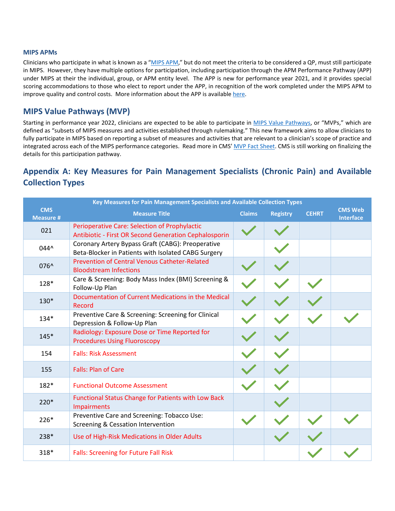#### **MIPS APMs**

Clinicians who participate in what is known as a ["MIPS APM,"](https://qpp.cms.gov/apms/mips-apms) but do not meet the criteria to be considered a QP, must still participate in MIPS. However, they have multiple options for participation, including participation through the APM Performance Pathway (APP) under MIPS at their the individual, group, or APM entity level. The APP is new for performance year 2021, and it provides special scoring accommodations to those who elect to report under the APP, in recognition of the work completed under the MIPS APM to improve quality and control costs. More information about the APP is available here.

# **MIPS Value Pathways (MVP)**

Starting in performance year 2022, clinicians are expected to be able to participate in [MIPS Value Pathways,](https://qpp-cm-prod-content.s3.amazonaws.com/uploads/587/MIPS%20Value%20Pathways%20Diagrams.zip) or "MVPs," which are defined as "subsets of MIPS measures and activities established through rulemaking." This new framework aims to allow clinicians to fully participate in MIPS based on reporting a subset of measures and activities that are relevant to a clinician's scope of practice and integrated across each of the MIPS performance categories. Read more in CMS[' MVP Fact Sheet.](https://qpp-cm-prod-content.s3.amazonaws.com/uploads/623/MVPs%20Overview%20Fact%20Sheet.pdf) CMS is still working on finalizing the details for this participation pathway.

# <span id="page-5-0"></span>**Appendix A: Key Measures for Pain Management Specialists (Chronic Pain) and Available Collection Types**

| Key Measures for Pain Management Specialists and Available Collection Types |                                                                                                               |               |                 |              |                                    |
|-----------------------------------------------------------------------------|---------------------------------------------------------------------------------------------------------------|---------------|-----------------|--------------|------------------------------------|
| <b>CMS</b><br><b>Measure #</b>                                              | <b>Measure Title</b>                                                                                          | <b>Claims</b> | <b>Registry</b> | <b>CEHRT</b> | <b>CMS Web</b><br><b>Interface</b> |
| 021                                                                         | Perioperative Care: Selection of Prophylactic<br><b>Antibiotic - First OR Second Generation Cephalosporin</b> |               |                 |              |                                    |
| 044^                                                                        | Coronary Artery Bypass Graft (CABG): Preoperative<br>Beta-Blocker in Patients with Isolated CABG Surgery      |               |                 |              |                                    |
| 076^                                                                        | <b>Prevention of Central Venous Catheter-Related</b><br><b>Bloodstream Infections</b>                         |               |                 |              |                                    |
| 128*                                                                        | Care & Screening: Body Mass Index (BMI) Screening &<br>Follow-Up Plan                                         |               |                 |              |                                    |
| 130*                                                                        | Documentation of Current Medications in the Medical<br>Record                                                 |               |                 |              |                                    |
| $134*$                                                                      | Preventive Care & Screening: Screening for Clinical<br>Depression & Follow-Up Plan                            |               |                 |              |                                    |
| $145*$                                                                      | Radiology: Exposure Dose or Time Reported for<br><b>Procedures Using Fluoroscopy</b>                          |               |                 |              |                                    |
| 154                                                                         | <b>Falls: Risk Assessment</b>                                                                                 |               |                 |              |                                    |
| 155                                                                         | <b>Falls: Plan of Care</b>                                                                                    |               |                 |              |                                    |
| 182*                                                                        | <b>Functional Outcome Assessment</b>                                                                          |               |                 |              |                                    |
| 220*                                                                        | <b>Functional Status Change for Patients with Low Back</b><br><b>Impairments</b>                              |               |                 |              |                                    |
| 226*                                                                        | Preventive Care and Screening: Tobacco Use:<br>Screening & Cessation Intervention                             |               |                 |              |                                    |
| 238*                                                                        | Use of High-Risk Medications in Older Adults                                                                  |               |                 |              |                                    |
| $318*$                                                                      | <b>Falls: Screening for Future Fall Risk</b>                                                                  |               |                 |              |                                    |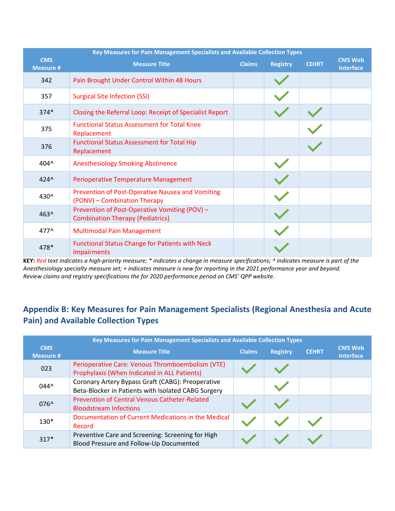| Key Measures for Pain Management Specialists and Available Collection Types |                                                                                          |               |                 |              |                                    |
|-----------------------------------------------------------------------------|------------------------------------------------------------------------------------------|---------------|-----------------|--------------|------------------------------------|
| <b>CMS</b><br><b>Measure #</b>                                              | <b>Measure Title</b>                                                                     | <b>Claims</b> | <b>Registry</b> | <b>CEHRT</b> | <b>CMS Web</b><br><b>Interface</b> |
| 342                                                                         | Pain Brought Under Control Within 48 Hours                                               |               |                 |              |                                    |
| 357                                                                         | <b>Surgical Site Infection (SSI)</b>                                                     |               |                 |              |                                    |
| $374*$                                                                      | Closing the Referral Loop: Receipt of Specialist Report                                  |               |                 |              |                                    |
| 375                                                                         | <b>Functional Status Assessment for Total Knee</b><br>Replacement                        |               |                 |              |                                    |
| 376                                                                         | <b>Functional Status Assessment for Total Hip</b><br>Replacement                         |               |                 |              |                                    |
| 404^                                                                        | <b>Anesthesiology Smoking Abstinence</b>                                                 |               |                 |              |                                    |
| $424^{\circ}$                                                               | <b>Perioperative Temperature Management</b>                                              |               |                 |              |                                    |
| 430^                                                                        | Prevention of Post-Operative Nausea and Vomiting<br>(PONV) - Combination Therapy         |               |                 |              |                                    |
| 463^                                                                        | Prevention of Post-Operative Vomiting (POV) -<br><b>Combination Therapy (Pediatrics)</b> |               |                 |              |                                    |
| 477^                                                                        | <b>Multimodal Pain Management</b>                                                        |               |                 |              |                                    |
| 478*                                                                        | <b>Functional Status Change for Patients with Neck</b><br><b>Impairments</b>             |               |                 |              |                                    |

**KEY:** *Red text indicates a high-priority measure; \* indicates a change in measure specifications; ^ indicates measure is part of the Anesthesiology specialty measure set; + indicates measure is new for reporting in the 2021 performance year and beyond. Review claims and registry specifications the for 2020 performance period on CMS' QPP website.* 

# <span id="page-6-0"></span>**Appendix B: Key Measures for Pain Management Specialists (Regional Anesthesia and Acute Pain) and Available Collection Types**

| Key Measures for Pain Management Specialists and Available Collection Types |                                                                                                          |               |                 |              |                                    |
|-----------------------------------------------------------------------------|----------------------------------------------------------------------------------------------------------|---------------|-----------------|--------------|------------------------------------|
| <b>CMS</b><br><b>Measure #</b>                                              | <b>Measure Title</b>                                                                                     | <b>Claims</b> | <b>Registry</b> | <b>CEHRT</b> | <b>CMS Web</b><br><b>Interface</b> |
| 023                                                                         | Perioperative Care: Venous Thromboembolism (VTE)<br>Prophylaxis (When Indicated in ALL Patients)         |               |                 |              |                                    |
| $044^{\circ}$                                                               | Coronary Artery Bypass Graft (CABG): Preoperative<br>Beta-Blocker in Patients with Isolated CABG Surgery |               |                 |              |                                    |
| $076^{\circ}$                                                               | <b>Prevention of Central Venous Catheter-Related</b><br><b>Bloodstream Infections</b>                    |               |                 |              |                                    |
| $130*$                                                                      | Documentation of Current Medications in the Medical<br>Record                                            |               |                 |              |                                    |
| $317*$                                                                      | Preventive Care and Screening: Screening for High<br>Blood Pressure and Follow-Up Documented             |               |                 |              |                                    |